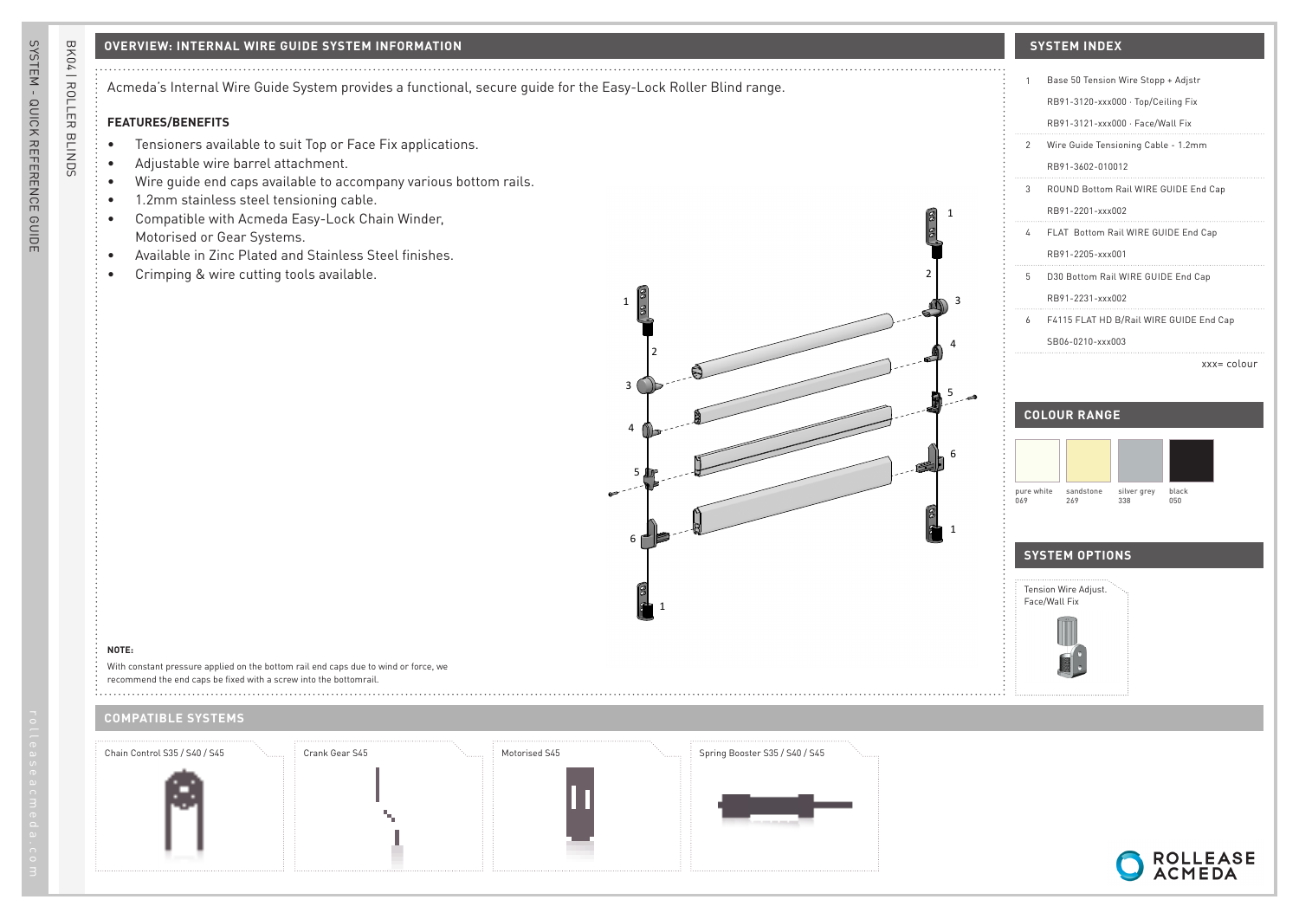## **OVERVIEW: INTERNAL WIRE GUIDE SYSTEM INFORMATION SYSTEM INDEX**

Acmeda's Internal Wire Guide System provides a functional, secure guide for the Easy-Lock Roller Blind range.

# **FEATURES/BENEFITS**

- Tensioners available to suit Top or Face Fix applications.
- Adjustable wire barrel attachment.
- Wire guide end caps available to accompany various bottom rails.
- 1.2mm stainless steel tensioning cable.
- Compatible with Acmeda Easy-Lock Chain Winder, Motorised or Gear Systems.
- Available in Zinc Plated and Stainless Steel finishes.
- Crimping & wire cutting tools available.



# 1 Base 50 Tension Wire Stopp + Adjstr RB91-3120-xxx000 · Top/Ceiling Fix RB91-3121-xxx000 · Face/Wall Fix 2 Wire Guide Tensioning Cable - 1.2mm RB91-3602-010012 3 ROUND Bottom Rail WIRE GUIDE End Cap RB91-2201-xxx002 4 FLAT Bottom Rail WIRE GUIDE End Cap RB91-2205-xxx001 5 D30 Bottom Rail WIRE GUIDE End Cap RB91-2231-xxx002 6 F4115 FLAT HD B/Rail WIRE GUIDE End Cap SB06-0210-xxx003

xxx= colour

# **COLOUR RANGE**



### **SYSTEM OPTIONS**



**NOTE:**

With constant pressure applied on the bottom rail end caps due to wind or force, we recommend the end caps be fixed with a screw into the bottomrail.

### **COMPATIBLE SYSTEMS**



BK04 | ROLLER BLINDS

BK04 | ROLLER BLINDS